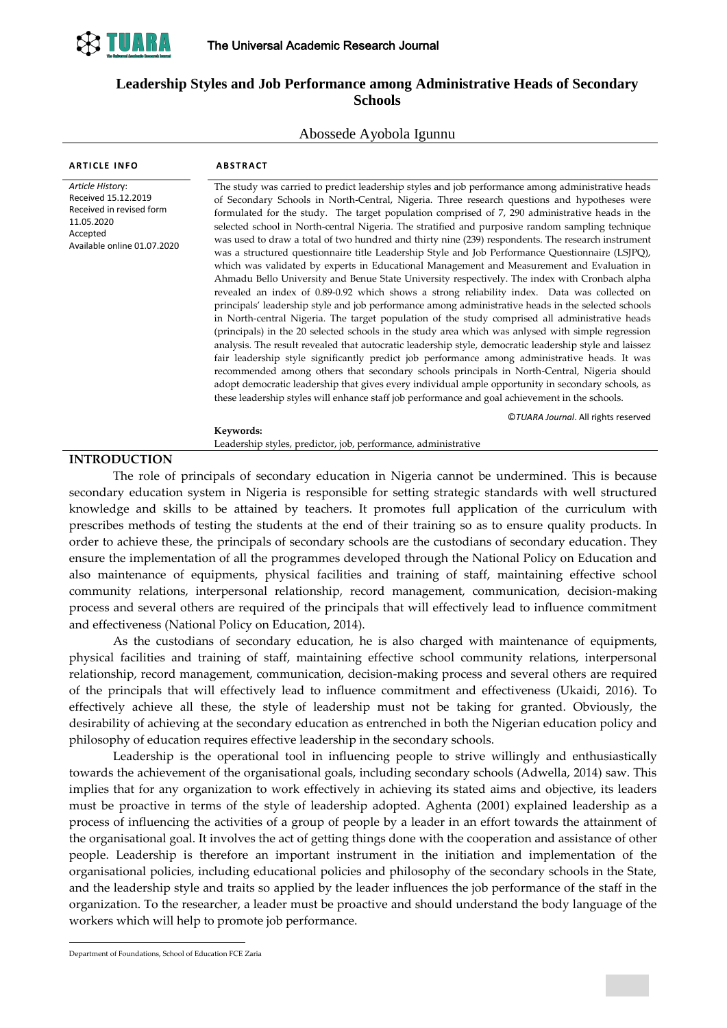

## **Leadership Styles and Job Performance among Administrative Heads of Secondary Schools**

#### Abossede Ayobola Igunnu

| <b>ARTICLE INFO</b>                                                 | <b>ABSTRACT</b>                                                                                         |
|---------------------------------------------------------------------|---------------------------------------------------------------------------------------------------------|
| Article History:<br>Received 15.12.2019<br>Received in revised form | The study was carried to predict leadership styles and job performance among administrative heads       |
|                                                                     | of Secondary Schools in North-Central, Nigeria. Three research questions and hypotheses were            |
|                                                                     | formulated for the study. The target population comprised of 7, 290 administrative heads in the         |
| 11.05.2020                                                          | selected school in North-central Nigeria. The stratified and purposive random sampling technique        |
| Accepted<br>Available online 01.07.2020                             | was used to draw a total of two hundred and thirty nine (239) respondents. The research instrument      |
|                                                                     | was a structured questionnaire title Leadership Style and Job Performance Questionnaire (LSJPQ),        |
|                                                                     | which was validated by experts in Educational Management and Measurement and Evaluation in              |
|                                                                     | Ahmadu Bello University and Benue State University respectively. The index with Cronbach alpha          |
|                                                                     | revealed an index of 0.89-0.92 which shows a strong reliability index. Data was collected on            |
|                                                                     | principals' leadership style and job performance among administrative heads in the selected schools     |
|                                                                     | in North-central Nigeria. The target population of the study comprised all administrative heads         |
|                                                                     | (principals) in the 20 selected schools in the study area which was anlysed with simple regression      |
|                                                                     | analysis. The result revealed that autocratic leadership style, democratic leadership style and laissez |
|                                                                     | fair leadership style significantly predict job performance among administrative heads. It was          |
|                                                                     | recommended among others that secondary schools principals in North-Central, Nigeria should             |
|                                                                     | adopt democratic leadership that gives every individual ample opportunity in secondary schools, as      |
|                                                                     | these leadership styles will enhance staff job performance and goal achievement in the schools.         |
|                                                                     | ©TUARA Journal. All rights reserved                                                                     |
|                                                                     | Keywords:                                                                                               |
|                                                                     | Leadership styles, predictor, job, performance, administrative                                          |
| <b>INTRODHCTION</b>                                                 |                                                                                                         |

#### **INTRODUCTION**

The role of principals of secondary education in Nigeria cannot be undermined. This is because secondary education system in Nigeria is responsible for setting strategic standards with well structured knowledge and skills to be attained by teachers. It promotes full application of the curriculum with prescribes methods of testing the students at the end of their training so as to ensure quality products. In order to achieve these, the principals of secondary schools are the custodians of secondary education. They ensure the implementation of all the programmes developed through the National Policy on Education and also maintenance of equipments, physical facilities and training of staff, maintaining effective school community relations, interpersonal relationship, record management, communication, decision-making process and several others are required of the principals that will effectively lead to influence commitment and effectiveness (National Policy on Education, 2014).

As the custodians of secondary education, he is also charged with maintenance of equipments, physical facilities and training of staff, maintaining effective school community relations, interpersonal relationship, record management, communication, decision-making process and several others are required of the principals that will effectively lead to influence commitment and effectiveness (Ukaidi, 2016). To effectively achieve all these, the style of leadership must not be taking for granted. Obviously, the desirability of achieving at the secondary education as entrenched in both the Nigerian education policy and philosophy of education requires effective leadership in the secondary schools.

Leadership is the operational tool in influencing people to strive willingly and enthusiastically towards the achievement of the organisational goals, including secondary schools (Adwella, 2014) saw. This implies that for any organization to work effectively in achieving its stated aims and objective, its leaders must be proactive in terms of the style of leadership adopted. Aghenta (2001) explained leadership as a process of influencing the activities of a group of people by a leader in an effort towards the attainment of the organisational goal. It involves the act of getting things done with the cooperation and assistance of other people. Leadership is therefore an important instrument in the initiation and implementation of the organisational policies, including educational policies and philosophy of the secondary schools in the State, and the leadership style and traits so applied by the leader influences the job performance of the staff in the organization. To the researcher, a leader must be proactive and should understand the body language of the workers which will help to promote job performance.

-

Department of Foundations, School of Education FCE Zaria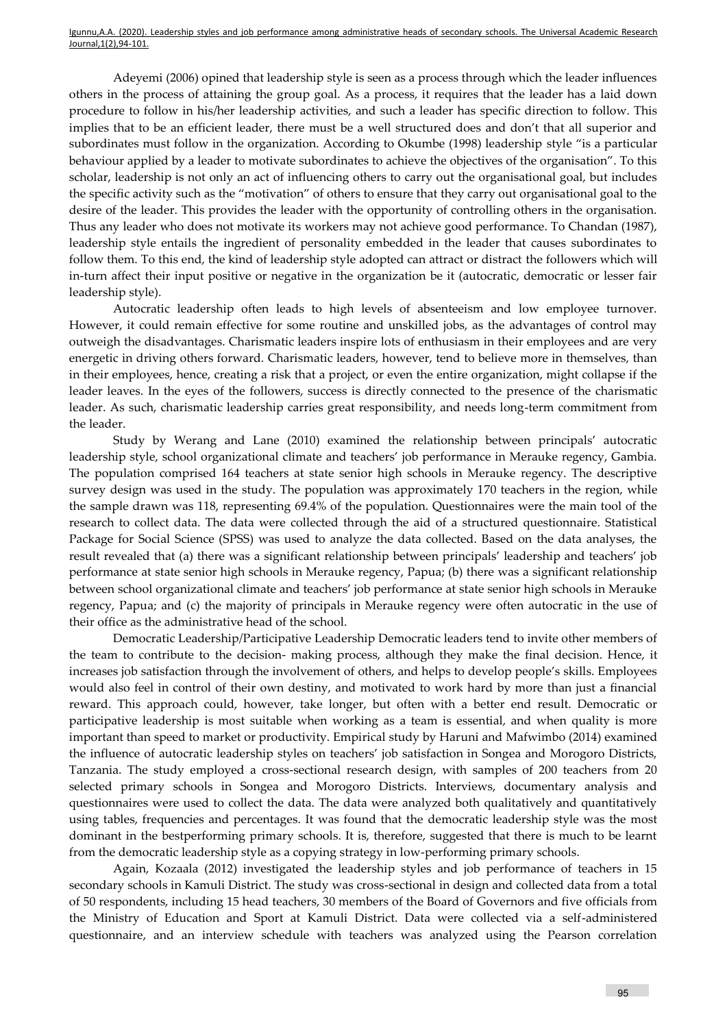Adeyemi (2006) opined that leadership style is seen as a process through which the leader influences others in the process of attaining the group goal. As a process, it requires that the leader has a laid down procedure to follow in his/her leadership activities, and such a leader has specific direction to follow. This implies that to be an efficient leader, there must be a well structured does and don't that all superior and subordinates must follow in the organization. According to Okumbe (1998) leadership style "is a particular behaviour applied by a leader to motivate subordinates to achieve the objectives of the organisation". To this scholar, leadership is not only an act of influencing others to carry out the organisational goal, but includes the specific activity such as the "motivation" of others to ensure that they carry out organisational goal to the desire of the leader. This provides the leader with the opportunity of controlling others in the organisation. Thus any leader who does not motivate its workers may not achieve good performance. To Chandan (1987), leadership style entails the ingredient of personality embedded in the leader that causes subordinates to follow them. To this end, the kind of leadership style adopted can attract or distract the followers which will in-turn affect their input positive or negative in the organization be it (autocratic, democratic or lesser fair leadership style).

Autocratic leadership often leads to high levels of absenteeism and low employee turnover. However, it could remain effective for some routine and unskilled jobs, as the advantages of control may outweigh the disadvantages. Charismatic leaders inspire lots of enthusiasm in their employees and are very energetic in driving others forward. Charismatic leaders, however, tend to believe more in themselves, than in their employees, hence, creating a risk that a project, or even the entire organization, might collapse if the leader leaves. In the eyes of the followers, success is directly connected to the presence of the charismatic leader. As such, charismatic leadership carries great responsibility, and needs long-term commitment from the leader.

Study by Werang and Lane (2010) examined the relationship between principals' autocratic leadership style, school organizational climate and teachers' job performance in Merauke regency, Gambia. The population comprised 164 teachers at state senior high schools in Merauke regency. The descriptive survey design was used in the study. The population was approximately 170 teachers in the region, while the sample drawn was 118, representing 69.4% of the population. Questionnaires were the main tool of the research to collect data. The data were collected through the aid of a structured questionnaire. Statistical Package for Social Science (SPSS) was used to analyze the data collected. Based on the data analyses, the result revealed that (a) there was a significant relationship between principals' leadership and teachers' job performance at state senior high schools in Merauke regency, Papua; (b) there was a significant relationship between school organizational climate and teachers' job performance at state senior high schools in Merauke regency, Papua; and (c) the majority of principals in Merauke regency were often autocratic in the use of their office as the administrative head of the school.

Democratic Leadership/Participative Leadership Democratic leaders tend to invite other members of the team to contribute to the decision- making process, although they make the final decision. Hence, it increases job satisfaction through the involvement of others, and helps to develop people's skills. Employees would also feel in control of their own destiny, and motivated to work hard by more than just a financial reward. This approach could, however, take longer, but often with a better end result. Democratic or participative leadership is most suitable when working as a team is essential, and when quality is more important than speed to market or productivity. Empirical study by Haruni and Mafwimbo (2014) examined the influence of autocratic leadership styles on teachers' job satisfaction in Songea and Morogoro Districts, Tanzania. The study employed a cross-sectional research design, with samples of 200 teachers from 20 selected primary schools in Songea and Morogoro Districts. Interviews, documentary analysis and questionnaires were used to collect the data. The data were analyzed both qualitatively and quantitatively using tables, frequencies and percentages. It was found that the democratic leadership style was the most dominant in the bestperforming primary schools. It is, therefore, suggested that there is much to be learnt from the democratic leadership style as a copying strategy in low-performing primary schools.

Again, Kozaala (2012) investigated the leadership styles and job performance of teachers in 15 secondary schools in Kamuli District. The study was cross-sectional in design and collected data from a total of 50 respondents, including 15 head teachers, 30 members of the Board of Governors and five officials from the Ministry of Education and Sport at Kamuli District. Data were collected via a self-administered questionnaire, and an interview schedule with teachers was analyzed using the Pearson correlation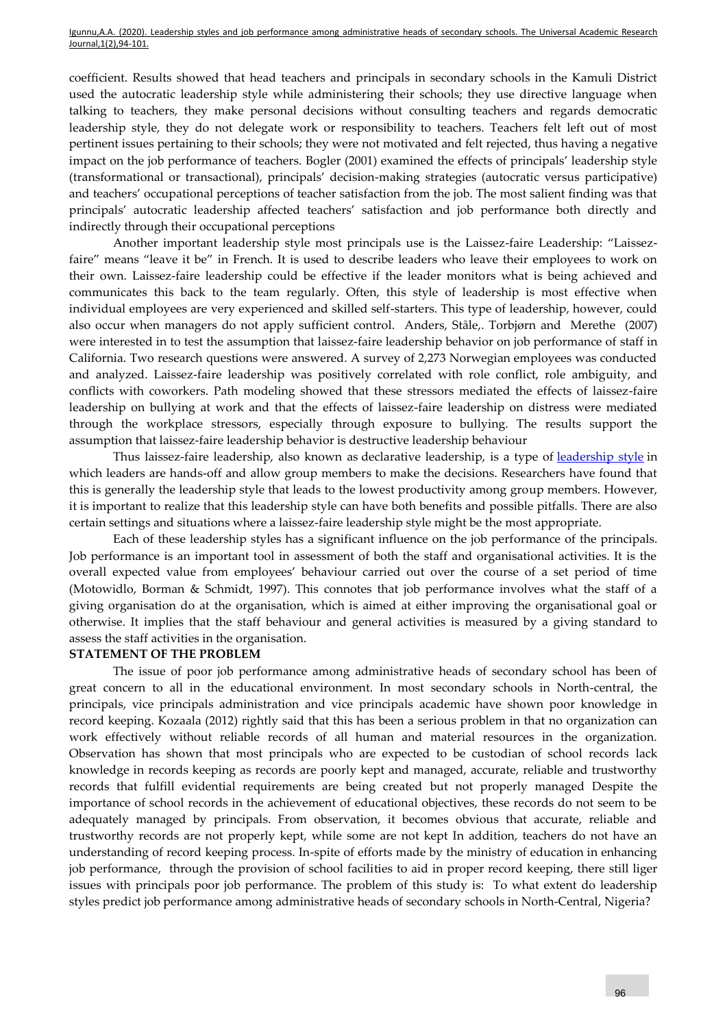coefficient. Results showed that head teachers and principals in secondary schools in the Kamuli District used the autocratic leadership style while administering their schools; they use directive language when talking to teachers, they make personal decisions without consulting teachers and regards democratic leadership style, they do not delegate work or responsibility to teachers. Teachers felt left out of most pertinent issues pertaining to their schools; they were not motivated and felt rejected, thus having a negative impact on the job performance of teachers. Bogler (2001) examined the effects of principals' leadership style (transformational or transactional), principals' decision-making strategies (autocratic versus participative) and teachers' occupational perceptions of teacher satisfaction from the job. The most salient finding was that principals' autocratic leadership affected teachers' satisfaction and job performance both directly and indirectly through their occupational perceptions

Another important leadership style most principals use is the Laissez-faire Leadership: "Laissezfaire" means "leave it be" in French. It is used to describe leaders who leave their employees to work on their own. Laissez-faire leadership could be effective if the leader monitors what is being achieved and communicates this back to the team regularly. Often, this style of leadership is most effective when individual employees are very experienced and skilled self-starters. This type of leadership, however, could also occur when managers do not apply sufficient control. [Anders,](https://www.researchgate.net/profile/Anders_Skogstad2) [Ståle,](https://www.researchgate.net/profile/Anders_Skogstad2). [Torbjørn and](https://www.researchgate.net/profile/Torbjorn_Torsheim2) [Merethe](https://www.researchgate.net/scientific-contributions/31526924_Merethe_Schanke_Aasland) (2007) were interested in to test the assumption that laissez-faire leadership behavior on job performance of staff in California. Two research questions were answered. A survey of 2,273 Norwegian employees was conducted and analyzed. Laissez-faire leadership was positively correlated with role conflict, role ambiguity, and conflicts with coworkers. Path modeling showed that these stressors mediated the effects of laissez-faire leadership on bullying at work and that the effects of laissez-faire leadership on distress were mediated through the workplace stressors, especially through exposure to bullying. The results support the assumption that laissez-faire leadership behavior is destructive leadership behaviour

Thus laissez-faire leadership, also known as declarative leadership, is a type of [leadership style](https://www.verywellmind.com/leadership-styles-2795312) in which leaders are hands-off and allow group members to make the decisions. Researchers have found that this is generally the leadership style that leads to the lowest productivity among group members. However, it is important to realize that this leadership style can have both benefits and possible pitfalls. There are also certain settings and situations where a laissez-faire leadership style might be the most appropriate.

Each of these leadership styles has a significant influence on the job performance of the principals. Job performance is an important tool in assessment of both the staff and organisational activities. It is the overall expected value from employees' behaviour carried out over the course of a set period of time (Motowidlo, Borman & Schmidt, 1997). This connotes that job performance involves what the staff of a giving organisation do at the organisation, which is aimed at either improving the organisational goal or otherwise. It implies that the staff behaviour and general activities is measured by a giving standard to assess the staff activities in the organisation.

#### **STATEMENT OF THE PROBLEM**

The issue of poor job performance among administrative heads of secondary school has been of great concern to all in the educational environment. In most secondary schools in North-central, the principals, vice principals administration and vice principals academic have shown poor knowledge in record keeping. Kozaala (2012) rightly said that this has been a serious problem in that no organization can work effectively without reliable records of all human and material resources in the organization. Observation has shown that most principals who are expected to be custodian of school records lack knowledge in records keeping as records are poorly kept and managed, accurate, reliable and trustworthy records that fulfill evidential requirements are being created but not properly managed Despite the importance of school records in the achievement of educational objectives, these records do not seem to be adequately managed by principals. From observation, it becomes obvious that accurate, reliable and trustworthy records are not properly kept, while some are not kept In addition, teachers do not have an understanding of record keeping process. In-spite of efforts made by the ministry of education in enhancing job performance, through the provision of school facilities to aid in proper record keeping, there still liger issues with principals poor job performance. The problem of this study is: To what extent do leadership styles predict job performance among administrative heads of secondary schools in North-Central, Nigeria?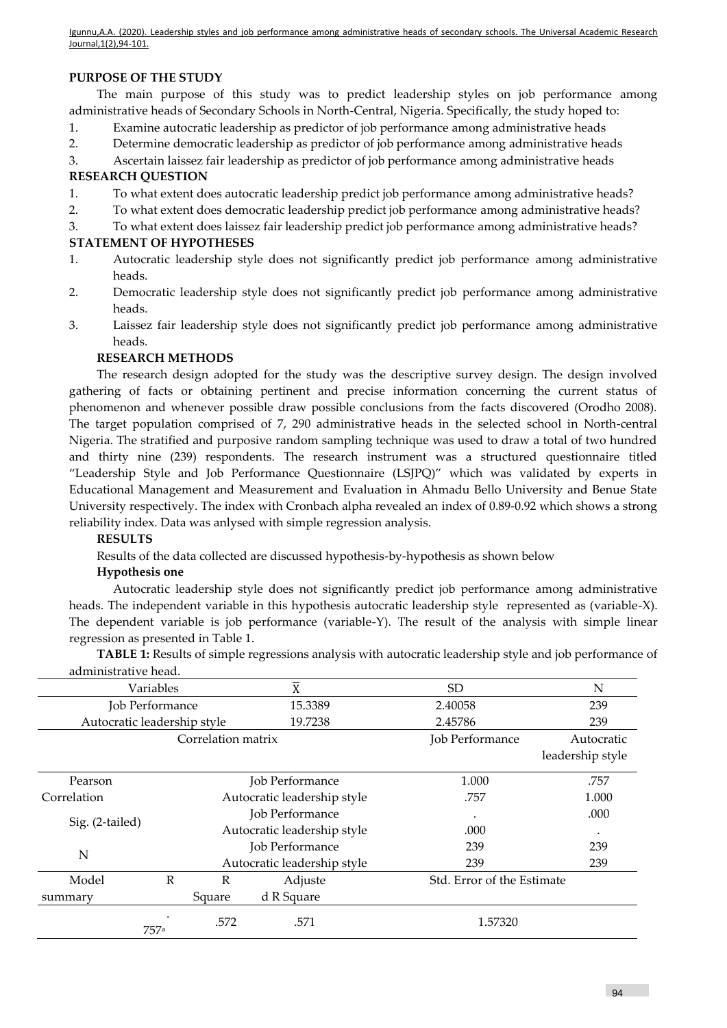## **PURPOSE OF THE STUDY**

The main purpose of this study was to predict leadership styles on job performance among administrative heads of Secondary Schools in North-Central, Nigeria. Specifically, the study hoped to:

- 1. Examine autocratic leadership as predictor of job performance among administrative heads
- 2. Determine democratic leadership as predictor of job performance among administrative heads
- 3. Ascertain laissez fair leadership as predictor of job performance among administrative heads

## **RESEARCH QUESTION**

- 1. To what extent does autocratic leadership predict job performance among administrative heads?
- 2. To what extent does democratic leadership predict job performance among administrative heads?
- 3. To what extent does laissez fair leadership predict job performance among administrative heads?

## **STATEMENT OF HYPOTHESES**

- 1. Autocratic leadership style does not significantly predict job performance among administrative heads.
- 2. Democratic leadership style does not significantly predict job performance among administrative heads.
- 3. Laissez fair leadership style does not significantly predict job performance among administrative heads.

# **RESEARCH METHODS**

The research design adopted for the study was the descriptive survey design. The design involved gathering of facts or obtaining pertinent and precise information concerning the current status of phenomenon and whenever possible draw possible conclusions from the facts discovered (Orodho 2008). The target population comprised of 7, 290 administrative heads in the selected school in North-central Nigeria. The stratified and purposive random sampling technique was used to draw a total of two hundred and thirty nine (239) respondents. The research instrument was a structured questionnaire titled "Leadership Style and Job Performance Questionnaire (LSJPQ)" which was validated by experts in Educational Management and Measurement and Evaluation in Ahmadu Bello University and Benue State University respectively. The index with Cronbach alpha revealed an index of 0.89-0.92 which shows a strong reliability index. Data was anlysed with simple regression analysis.

## **RESULTS**

Results of the data collected are discussed hypothesis-by-hypothesis as shown below

## **Hypothesis one**

Autocratic leadership style does not significantly predict job performance among administrative heads. The independent variable in this hypothesis autocratic leadership style represented as (variable-X). The dependent variable is job performance (variable-Y). The result of the analysis with simple linear regression as presented in Table 1.

**TABLE 1:** Results of simple regressions analysis with autocratic leadership style and job performance of administrative head.

| auililiistiativt Iltau.     |      |                    |                             |                            |                  |
|-----------------------------|------|--------------------|-----------------------------|----------------------------|------------------|
| Variables                   |      |                    | X                           | SD <sub>1</sub>            | N                |
| Job Performance             |      | 15.3389            | 2.40058                     | 239                        |                  |
| Autocratic leadership style |      |                    | 19.7238                     | 2.45786                    | 239              |
|                             |      | Correlation matrix |                             | Job Performance            | Autocratic       |
|                             |      |                    |                             |                            | leadership style |
| Pearson                     |      |                    | Job Performance             | 1.000                      | .757             |
| Correlation                 |      |                    | Autocratic leadership style | .757                       | 1.000            |
|                             |      |                    | Job Performance             | ٠                          | .000             |
| Sig. (2-tailed)             |      |                    | Autocratic leadership style | .000                       |                  |
| N                           |      |                    | Job Performance             | 239                        | 239              |
|                             |      |                    | Autocratic leadership style | 239                        | 239              |
| Model                       | R    | $\mathbb{R}$       | Adjuste                     | Std. Error of the Estimate |                  |
| summary                     |      | Square             | d R Square                  |                            |                  |
|                             | 757a | .572               | .571                        | 1.57320                    |                  |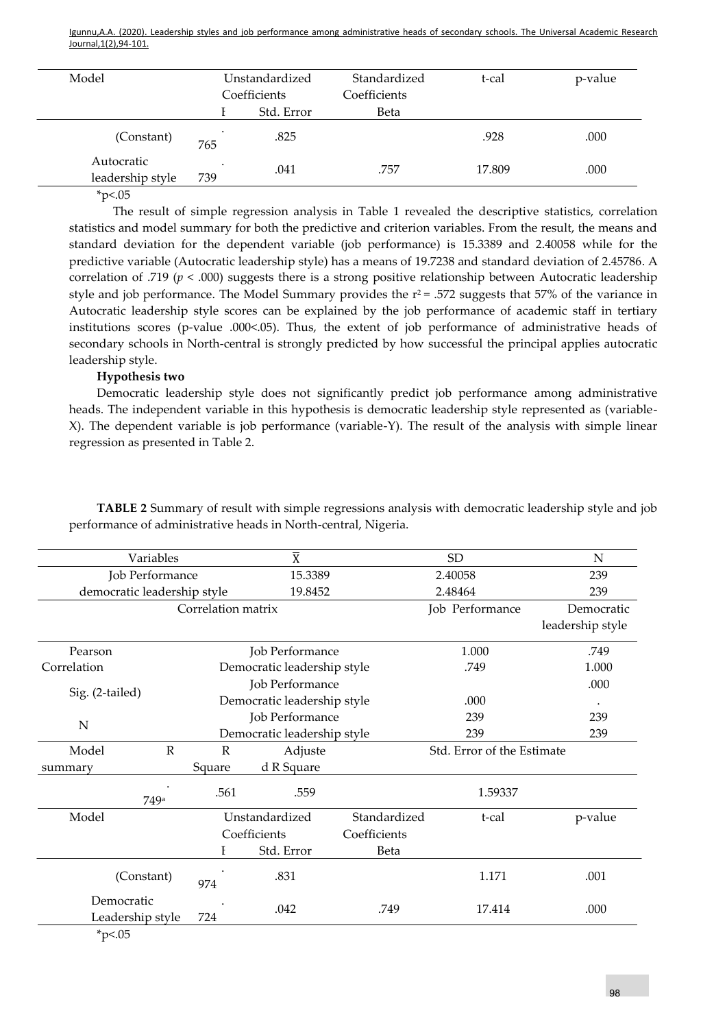| Model                              |                | Unstandardized | Standardized | t-cal  | p-value |
|------------------------------------|----------------|----------------|--------------|--------|---------|
|                                    | Coefficients   |                | Coefficients |        |         |
|                                    |                | Std. Error     | Beta         |        |         |
| (Constant)                         | 765            | .825           |              | .928   | .000    |
| Autocratic<br>leadership style     | $\cdot$<br>739 | .041           | .757         | 17.809 | .000    |
| $\sim$ $\sim$ $\sim$ $\sim$ $\sim$ |                |                |              |        |         |

 $*p<.05$ 

The result of simple regression analysis in Table 1 revealed the descriptive statistics, correlation statistics and model summary for both the predictive and criterion variables. From the result, the means and standard deviation for the dependent variable (job performance) is 15.3389 and 2.40058 while for the predictive variable (Autocratic leadership style) has a means of 19.7238 and standard deviation of 2.45786. A correlation of .719 (*p* < .000) suggests there is a strong positive relationship between Autocratic leadership style and job performance. The Model Summary provides the  $r^2$  = .572 suggests that 57% of the variance in Autocratic leadership style scores can be explained by the job performance of academic staff in tertiary institutions scores (p-value .000<.05). Thus, the extent of job performance of administrative heads of secondary schools in North-central is strongly predicted by how successful the principal applies autocratic leadership style.

## **Hypothesis two**

Democratic leadership style does not significantly predict job performance among administrative heads. The independent variable in this hypothesis is democratic leadership style represented as (variable-X). The dependent variable is job performance (variable-Y). The result of the analysis with simple linear regression as presented in Table 2.

| Variables                   |                    |                        | $\overline{X}$              |              | <b>SD</b>                  | N                |  |
|-----------------------------|--------------------|------------------------|-----------------------------|--------------|----------------------------|------------------|--|
| Job Performance             |                    |                        | 15.3389                     |              | 2.40058                    | 239              |  |
| democratic leadership style |                    |                        | 19.8452                     |              | 2.48464                    | 239              |  |
|                             | Correlation matrix |                        |                             |              | Job Performance            | Democratic       |  |
|                             |                    |                        |                             |              |                            | leadership style |  |
| Pearson                     |                    |                        | Job Performance             |              | 1.000                      | .749             |  |
| Correlation                 |                    |                        | Democratic leadership style |              | .749                       | 1.000            |  |
|                             |                    | Job Performance        |                             |              |                            | .000             |  |
| Sig. (2-tailed)             |                    |                        | Democratic leadership style |              | .000                       | $\bullet$        |  |
|                             |                    | Job Performance<br>239 |                             |              |                            | 239              |  |
| N                           |                    |                        | Democratic leadership style |              | 239                        | 239              |  |
| Model                       | $\mathbb{R}$       | $\mathbb R$<br>Adjuste |                             |              | Std. Error of the Estimate |                  |  |
| summary                     |                    | Square                 | d R Square                  |              |                            |                  |  |
|                             | 749a               | .561                   | .559                        |              | 1.59337                    |                  |  |
| Model                       |                    |                        | Unstandardized              | Standardized | t-cal                      | p-value          |  |
|                             |                    |                        | Coefficients                | Coefficients |                            |                  |  |
|                             |                    |                        | Std. Error                  | Beta         |                            |                  |  |
|                             | (Constant)         | 974                    | .831                        |              | 1.171                      | .001             |  |
| Democratic                  | Leadership style   | 724                    | .042                        | .749         | 17.414                     | .000             |  |
| $*_{n < 05}$                |                    |                        |                             |              |                            |                  |  |

**TABLE 2** Summary of result with simple regressions analysis with democratic leadership style and job performance of administrative heads in North-central, Nigeria.

\*p<.05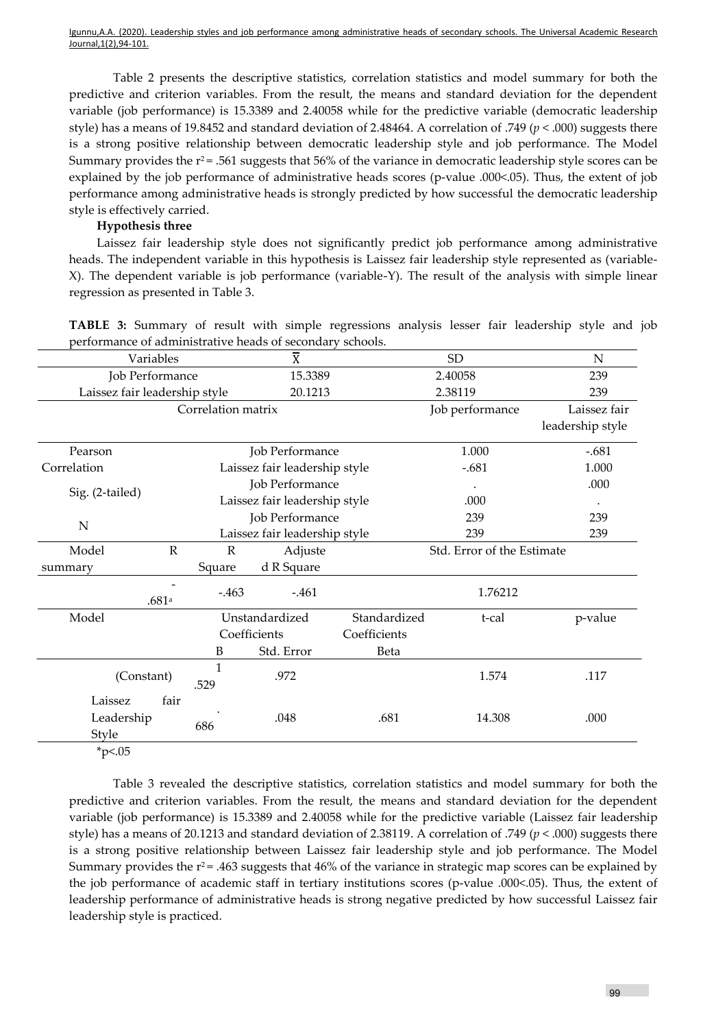Table 2 presents the descriptive statistics, correlation statistics and model summary for both the predictive and criterion variables. From the result, the means and standard deviation for the dependent variable (job performance) is 15.3389 and 2.40058 while for the predictive variable (democratic leadership style) has a means of 19.8452 and standard deviation of 2.48464. A correlation of .749 (*p* < .000) suggests there is a strong positive relationship between democratic leadership style and job performance. The Model Summary provides the  $r^2$  = .561 suggests that 56% of the variance in democratic leadership style scores can be explained by the job performance of administrative heads scores (p-value .000<.05). Thus, the extent of job performance among administrative heads is strongly predicted by how successful the democratic leadership style is effectively carried.

### **Hypothesis three**

Laissez fair leadership style does not significantly predict job performance among administrative heads. The independent variable in this hypothesis is Laissez fair leadership style represented as (variable-X). The dependent variable is job performance (variable-Y). The result of the analysis with simple linear regression as presented in Table 3.

| Variables                     |           |                               | $\overline{\text{X}}$         |              | <b>SD</b>                  | N                |
|-------------------------------|-----------|-------------------------------|-------------------------------|--------------|----------------------------|------------------|
| Job Performance               |           |                               | 15.3389                       |              | 2.40058                    | 239              |
| Laissez fair leadership style |           |                               | 20.1213                       |              | 2.38119                    | 239              |
| Correlation matrix            |           |                               |                               |              | Job performance            | Laissez fair     |
|                               |           |                               |                               |              |                            | leadership style |
| Pearson                       |           | Job Performance               |                               |              | 1.000                      | $-.681$          |
| Correlation                   |           |                               | Laissez fair leadership style |              | $-.681$                    | 1.000            |
|                               |           |                               | Job Performance               |              |                            | .000             |
| Sig. (2-tailed)               |           | Laissez fair leadership style |                               |              | .000                       |                  |
| N                             |           |                               | Job Performance               |              | 239                        | 239              |
|                               |           |                               | Laissez fair leadership style |              | 239                        | 239              |
| Model                         | ${\bf R}$ | $\mathbb{R}$                  | Adjuste                       |              | Std. Error of the Estimate |                  |
| summary                       |           | Square                        | d R Square                    |              |                            |                  |
|                               | .681 $a$  | $-0.463$                      | $-.461$                       |              | 1.76212                    |                  |
| Model                         |           |                               | Unstandardized                | Standardized | t-cal                      | p-value          |
|                               |           |                               | Coefficients                  | Coefficients |                            |                  |
|                               |           | B                             | Std. Error                    | Beta         |                            |                  |
| (Constant)                    |           | 1<br>.529                     | .972                          |              | 1.574                      | .117             |
| Laissez                       | fair      |                               |                               |              |                            |                  |
| Leadership<br>Style           |           | 686                           | .048                          | .681         | 14.308                     | .000             |

**TABLE 3:** Summary of result with simple regressions analysis lesser fair leadership style and job performance of administrative heads of secondary schools.

 $*<sub>p</sub><0.05$ 

Table 3 revealed the descriptive statistics, correlation statistics and model summary for both the predictive and criterion variables. From the result, the means and standard deviation for the dependent variable (job performance) is 15.3389 and 2.40058 while for the predictive variable (Laissez fair leadership style) has a means of 20.1213 and standard deviation of 2.38119. A correlation of .749 (*p* < .000) suggests there is a strong positive relationship between Laissez fair leadership style and job performance. The Model Summary provides the  $r^2$  = .463 suggests that 46% of the variance in strategic map scores can be explained by the job performance of academic staff in tertiary institutions scores (p-value .000<.05). Thus, the extent of leadership performance of administrative heads is strong negative predicted by how successful Laissez fair leadership style is practiced.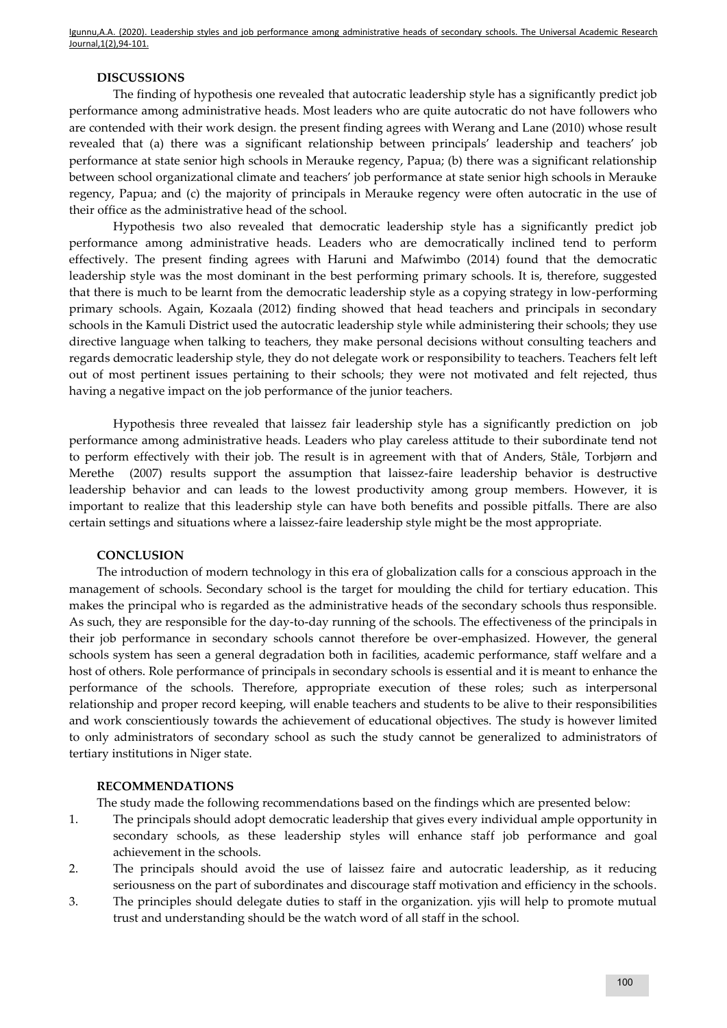#### **DISCUSSIONS**

The finding of hypothesis one revealed that autocratic leadership style has a significantly predict job performance among administrative heads. Most leaders who are quite autocratic do not have followers who are contended with their work design. the present finding agrees with Werang and Lane (2010) whose result revealed that (a) there was a significant relationship between principals' leadership and teachers' job performance at state senior high schools in Merauke regency, Papua; (b) there was a significant relationship between school organizational climate and teachers' job performance at state senior high schools in Merauke regency, Papua; and (c) the majority of principals in Merauke regency were often autocratic in the use of their office as the administrative head of the school.

Hypothesis two also revealed that democratic leadership style has a significantly predict job performance among administrative heads. Leaders who are democratically inclined tend to perform effectively. The present finding agrees with Haruni and Mafwimbo (2014) found that the democratic leadership style was the most dominant in the best performing primary schools. It is, therefore, suggested that there is much to be learnt from the democratic leadership style as a copying strategy in low-performing primary schools. Again, Kozaala (2012) finding showed that head teachers and principals in secondary schools in the Kamuli District used the autocratic leadership style while administering their schools; they use directive language when talking to teachers, they make personal decisions without consulting teachers and regards democratic leadership style, they do not delegate work or responsibility to teachers. Teachers felt left out of most pertinent issues pertaining to their schools; they were not motivated and felt rejected, thus having a negative impact on the job performance of the junior teachers.

Hypothesis three revealed that laissez fair leadership style has a significantly prediction on job performance among administrative heads. Leaders who play careless attitude to their subordinate tend not to perform effectively with their job. The result is in agreement with that of [Anders,](https://www.researchgate.net/profile/Anders_Skogstad2) [Ståle](https://www.researchgate.net/profile/Anders_Skogstad2), Torbjø[rn and](https://www.researchgate.net/profile/Torbjorn_Torsheim2)  [Merethe](https://www.researchgate.net/scientific-contributions/31526924_Merethe_Schanke_Aasland) (2007) results support the assumption that laissez-faire leadership behavior is destructive leadership behavior and can leads to the lowest productivity among group members. However, it is important to realize that this leadership style can have both benefits and possible pitfalls. There are also certain settings and situations where a laissez-faire leadership style might be the most appropriate.

#### **CONCLUSION**

The introduction of modern technology in this era of globalization calls for a conscious approach in the management of schools. Secondary school is the target for moulding the child for tertiary education. This makes the principal who is regarded as the administrative heads of the secondary schools thus responsible. As such, they are responsible for the day-to-day running of the schools. The effectiveness of the principals in their job performance in secondary schools cannot therefore be over-emphasized. However, the general schools system has seen a general degradation both in facilities, academic performance, staff welfare and a host of others. Role performance of principals in secondary schools is essential and it is meant to enhance the performance of the schools. Therefore, appropriate execution of these roles; such as interpersonal relationship and proper record keeping, will enable teachers and students to be alive to their responsibilities and work conscientiously towards the achievement of educational objectives. The study is however limited to only administrators of secondary school as such the study cannot be generalized to administrators of tertiary institutions in Niger state.

#### **RECOMMENDATIONS**

The study made the following recommendations based on the findings which are presented below:

- 1. The principals should adopt democratic leadership that gives every individual ample opportunity in secondary schools, as these leadership styles will enhance staff job performance and goal achievement in the schools.
- 2. The principals should avoid the use of laissez faire and autocratic leadership, as it reducing seriousness on the part of subordinates and discourage staff motivation and efficiency in the schools.
- 3. The principles should delegate duties to staff in the organization. yjis will help to promote mutual trust and understanding should be the watch word of all staff in the school.